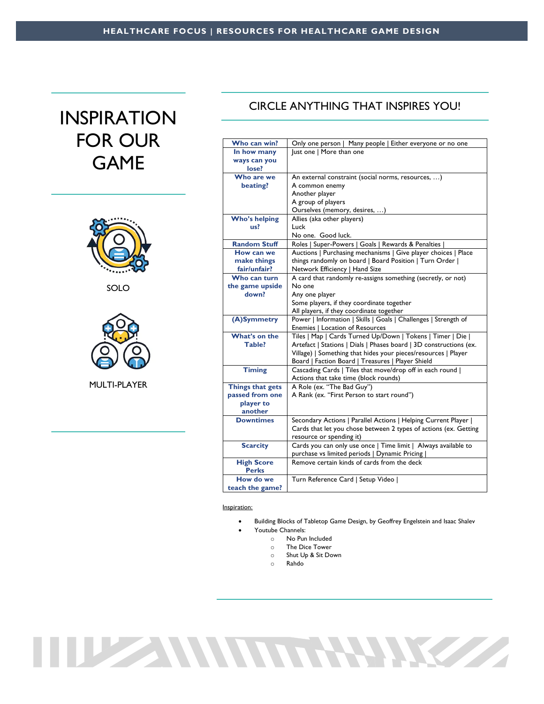## INSPIRATION FOR OUR GAME



SOLO



MULTI-PLAYER

## CIRCLE ANYTHING THAT INSPIRES YOU!

| Who can win?         | Only one person   Many people   Either everyone or no one          |
|----------------------|--------------------------------------------------------------------|
| In how many          | lust one   More than one                                           |
| ways can you         |                                                                    |
| lose?                |                                                                    |
| Who are we           | An external constraint (social norms, resources, )                 |
| beating?             | A common enemy                                                     |
|                      | Another player                                                     |
|                      | A group of players                                                 |
|                      | Ourselves (memory, desires, )                                      |
| <b>Who's helping</b> | Allies (aka other players)                                         |
| us?                  | Luck                                                               |
|                      | No one. Good luck.                                                 |
| <b>Random Stuff</b>  | Roles   Super-Powers   Goals   Rewards & Penalties                 |
| How can we           | Auctions   Purchasing mechanisms   Give player choices   Place     |
| make things          | things randomly on board   Board Position   Turn Order             |
| fair/unfair?         | Network Efficiency   Hand Size                                     |
| Who can turn         | A card that randomly re-assigns something (secretly, or not)       |
| the game upside      | No one                                                             |
| down?                | Any one player                                                     |
|                      | Some players, if they coordinate together                          |
|                      | All players, if they coordinate together                           |
| (A)Symmetry          | Power   Information   Skills   Goals   Challenges   Strength of    |
|                      | Enemies   Location of Resources                                    |
| What's on the        | Tiles   Map   Cards Turned Up/Down   Tokens   Timer   Die          |
| Table?               | Artefact   Stations   Dials   Phases board   3D constructions (ex. |
|                      | Village)   Something that hides your pieces/resources   Player     |
|                      | Board   Faction Board   Treasures   Player Shield                  |
| <b>Timing</b>        | Cascading Cards   Tiles that move/drop off in each round           |
|                      | Actions that take time (block rounds)                              |
| Things that gets     | A Role (ex. "The Bad Guy")                                         |
| passed from one      | A Rank (ex. "First Person to start round")                         |
| player to            |                                                                    |
| another              |                                                                    |
| <b>Downtimes</b>     | Secondary Actions   Parallel Actions   Helping Current Player      |
|                      | Cards that let you chose between 2 types of actions (ex. Getting   |
|                      | resource or spending it)                                           |
| <b>Scarcity</b>      | Cards you can only use once   Time limit   Always available to     |
|                      | purchase vs limited periods   Dynamic Pricing                      |
| <b>High Score</b>    | Remove certain kinds of cards from the deck                        |
| <b>Perks</b>         |                                                                    |
| How do we            | Turn Reference Card   Setup Video                                  |
| teach the game?      |                                                                    |

Inspiration:

- Building Blocks of Tabletop Game Design, by Geoffrey Engelstein and Isaac Shalev Youtube Channels:
	- o No Pun Included
	- o The Dice Tower
	- o Shut Up & Sit Down
	- o Rahdo

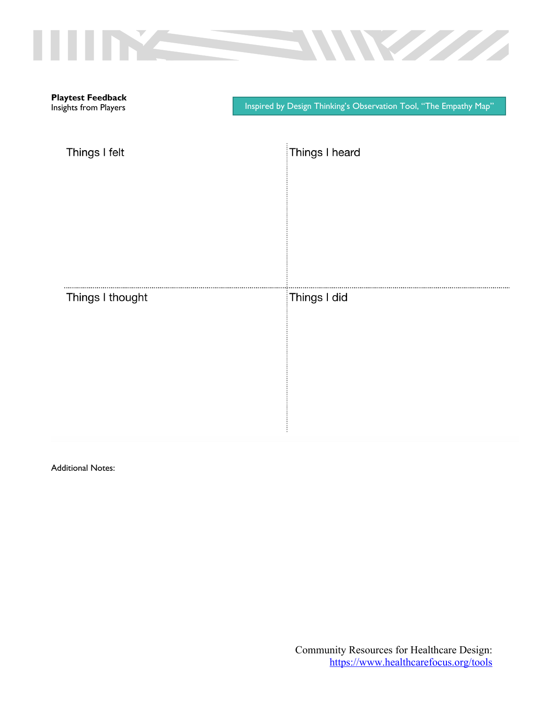|                                                   | <b>Registration</b><br>$\overline{\phantom{a}}$                   |
|---------------------------------------------------|-------------------------------------------------------------------|
| <b>Playtest Feedback</b><br>Insights from Players | Inspired by Design Thinking's Observation Tool, "The Empathy Map" |
| Things I felt                                     | Things I heard                                                    |
|                                                   |                                                                   |
|                                                   |                                                                   |
| Things I thought                                  | Things I did                                                      |
|                                                   |                                                                   |
|                                                   |                                                                   |

ŧ

Additional Notes: